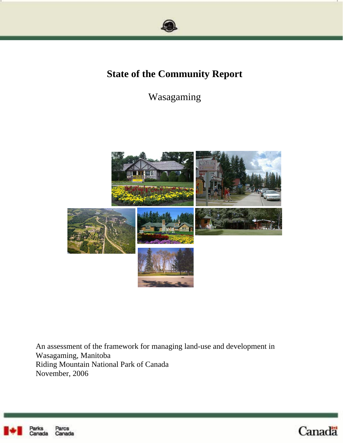

# **State of the Community Report**

# Wasagaming



An assessment of the framework for managing land-use and development in Wasagaming, Manitoba Riding Mountain National Park of Canada November, 2006



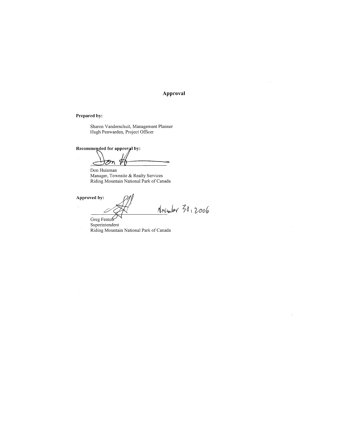#### Approval

 $\bar{\mathcal{A}}$ 

#### Prepared by:

Sharon Vanderschuit, Management Planner Hugh Penwarden, Project Officer

Recommended for approval by:

Øп  $\hat{\phantom{a}}$ 

 $\mbox{Don Huisman}$ Manager, Townsite & Realty Services<br>Riding Mountain National Park of Canada

Approved by:

November 30, 2006

Greg Fenton  $Superintendent$ Riding Mountain National Park of Canada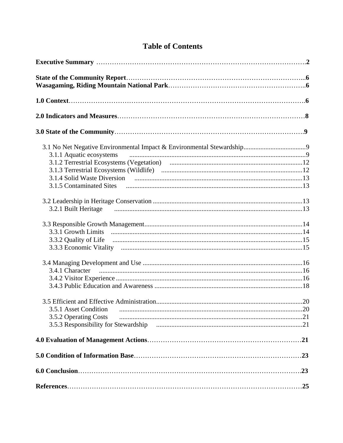| 3.1.1 Aquatic ecosystems                       |  |
|------------------------------------------------|--|
|                                                |  |
|                                                |  |
|                                                |  |
| 3.5.1 Asset Condition<br>3.5.2 Operating Costs |  |
|                                                |  |
|                                                |  |
|                                                |  |
|                                                |  |

# **Table of Contents**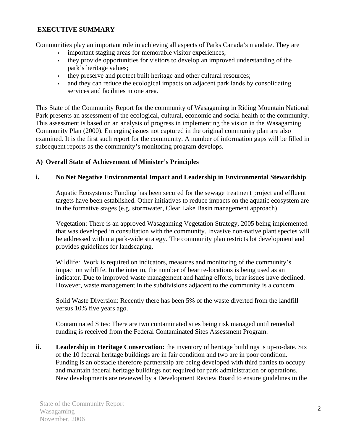# <span id="page-3-0"></span> **EXECUTIVE SUMMARY**

Communities play an important role in achieving all aspects of Parks Canada's mandate. They are

- important staging areas for memorable visitor experiences;
- they provide opportunities for visitors to develop an improved understanding of the park's heritage values;
- they preserve and protect built heritage and other cultural resources;
- and they can reduce the ecological impacts on adjacent park lands by consolidating services and facilities in one area.

This State of the Community Report for the community of Wasagaming in Riding Mountain National Park presents an assessment of the ecological, cultural, economic and social health of the community. This assessment is based on an analysis of progress in implementing the vision in the Wasagaming Community Plan (2000). Emerging issues not captured in the original community plan are also examined. It is the first such report for the community. A number of information gaps will be filled in subsequent reports as the community's monitoring program develops.

# **A) Overall State of Achievement of Minister's Principles**

# **i. No Net Negative Environmental Impact and Leadership in Environmental Stewardship**

Aquatic Ecosystems: Funding has been secured for the sewage treatment project and effluent targets have been established. Other initiatives to reduce impacts on the aquatic ecosystem are in the formative stages (e.g. stormwater, Clear Lake Basin management approach).

Vegetation: There is an approved Wasagaming Vegetation Strategy, 2005 being implemented that was developed in consultation with the community. Invasive non-native plant species will be addressed within a park-wide strategy. The community plan restricts lot development and provides guidelines for landscaping.

Wildlife: Work is required on indicators, measures and monitoring of the community's impact on wildlife. In the interim, the number of bear re-locations is being used as an indicator. Due to improved waste management and hazing efforts, bear issues have declined. However, waste management in the subdivisions adjacent to the community is a concern.

Solid Waste Diversion: Recently there has been 5% of the waste diverted from the landfill versus 10% five years ago.

Contaminated Sites: There are two contaminated sites being risk managed until remedial funding is received from the Federal Contaminated Sites Assessment Program.

**ii. Leadership in Heritage Conservation:** the inventory of heritage buildings is up-to-date. Six of the 10 federal heritage buildings are in fair condition and two are in poor condition. Funding is an obstacle therefore partnership are being developed with third parties to occupy and maintain federal heritage buildings not required for park administration or operations. New developments are reviewed by a Development Review Board to ensure guidelines in the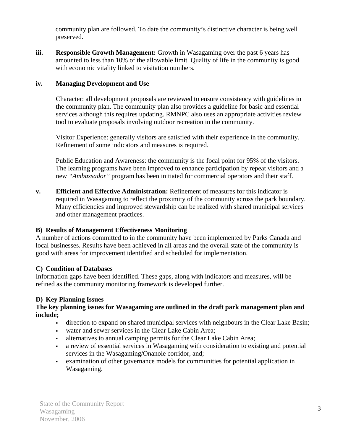community plan are followed. To date the community's distinctive character is being well preserved.

**iii.** Responsible Growth Management: Growth in Wasagaming over the past 6 years has amounted to less than 10% of the allowable limit. Quality of life in the community is good with economic vitality linked to visitation numbers.

# **iv. Managing Development and Use**

Character: all development proposals are reviewed to ensure consistency with guidelines in the community plan. The community plan also provides a guideline for basic and essential services although this requires updating. RMNPC also uses an appropriate activities review tool to evaluate proposals involving outdoor recreation in the community.

Visitor Experience: generally visitors are satisfied with their experience in the community. Refinement of some indicators and measures is required.

Public Education and Awareness: the community is the focal point for 95% of the visitors. The learning programs have been improved to enhance participation by repeat visitors and a new *"Ambassador"* program has been initiated for commercial operators and their staff.

**v. Efficient and Effective Administration:** Refinement of measures for this indicator is required in Wasagaming to reflect the proximity of the community across the park boundary. Many efficiencies and improved stewardship can be realized with shared municipal services and other management practices.

# **B) Results of Management Effectiveness Monitoring**

A number of actions committed to in the community have been implemented by Parks Canada and local businesses. Results have been achieved in all areas and the overall state of the community is good with areas for improvement identified and scheduled for implementation.

# **C) Condition of Databases**

Information gaps have been identified. These gaps, along with indicators and measures, will be refined as the community monitoring framework is developed further.

# **D) Key Planning Issues**

# **The key planning issues for Wasagaming are outlined in the draft park management plan and include;**

- direction to expand on shared municipal services with neighbours in the Clear Lake Basin;
- water and sewer services in the Clear Lake Cabin Area;
- alternatives to annual camping permits for the Clear Lake Cabin Area;
- a review of essential services in Wasagaming with consideration to existing and potential services in the Wasagaming/Onanole corridor, and;
- examination of other governance models for communities for potential application in Wasagaming.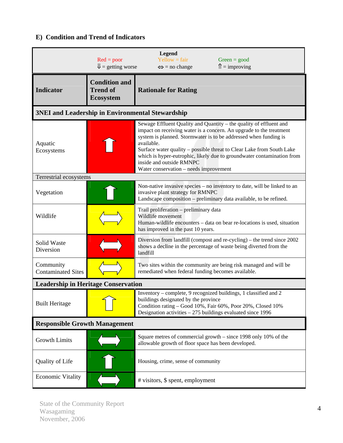# **E) Condition and Trend of Indicators**

|                                                                                                                                                                               | $Red = poor$<br>$\mathbf{\mathsf{U}} =$ getting worse       | <b>Legend</b><br>$Y$ ellow = fair<br>$Green = good$<br>$\hat{\mathsf{n}}$ = improving<br>$\Leftrightarrow$ = no change                                                                                                                                                                       |  |
|-------------------------------------------------------------------------------------------------------------------------------------------------------------------------------|-------------------------------------------------------------|----------------------------------------------------------------------------------------------------------------------------------------------------------------------------------------------------------------------------------------------------------------------------------------------|--|
| <b>Indicator</b>                                                                                                                                                              | <b>Condition and</b><br><b>Trend of</b><br><b>Ecosystem</b> | <b>Rationale for Rating</b>                                                                                                                                                                                                                                                                  |  |
|                                                                                                                                                                               |                                                             | <b>3NEI and Leadership in Environmental Stewardship</b>                                                                                                                                                                                                                                      |  |
| system is planned. Stormwater is to be addressed when funding is<br>Aquatic<br>available.<br>Ecosystems<br>inside and outside RMNPC<br>Water conservation - needs improvement |                                                             | Sewage Effluent Quality and Quantity – the quality of effluent and<br>impact on receiving water is a concern. An upgrade to the treatment<br>Surface water quality - possible threat to Clear Lake from South Lake<br>which is hyper-eutrophic, likely due to groundwater contamination from |  |
| Terrestrial ecosystems                                                                                                                                                        |                                                             |                                                                                                                                                                                                                                                                                              |  |
| Vegetation                                                                                                                                                                    |                                                             | Non-native invasive species – no inventory to date, will be linked to an<br>invasive plant strategy for RMNPC<br>Landscape composition – preliminary data available, to be refined.                                                                                                          |  |
| Wildlife                                                                                                                                                                      |                                                             | Trail proliferation - preliminary data<br>Wildlife movement<br>Human-wildlife encounters – data on bear re-locations is used, situation<br>has improved in the past 10 years.                                                                                                                |  |
| Solid Waste<br>Diversion                                                                                                                                                      |                                                             | Diversion from landfill (compost and re-cycling) – the trend since 2002<br>shows a decline in the percentage of waste being diverted from the<br>landfill                                                                                                                                    |  |
| Community<br><b>Contaminated Sites</b>                                                                                                                                        |                                                             | Two sites within the community are being risk managed and will be<br>remediated when federal funding becomes available.                                                                                                                                                                      |  |
| <b>Leadership in Heritage Conservation</b>                                                                                                                                    |                                                             |                                                                                                                                                                                                                                                                                              |  |
| buildings designated by the province<br><b>Built Heritage</b><br>Designation activities $-275$ buildings evaluated since 1996                                                 |                                                             | Inventory – complete, 9 recognized buildings, 1 classified and 2<br>Condition rating - Good 10%, Fair 60%, Poor 20%, Closed 10%                                                                                                                                                              |  |
| <b>Responsible Growth Management</b>                                                                                                                                          |                                                             |                                                                                                                                                                                                                                                                                              |  |
| <b>Growth Limits</b>                                                                                                                                                          |                                                             | Square metres of commercial growth $-$ since 1998 only 10% of the<br>allowable growth of floor space has been developed.                                                                                                                                                                     |  |
| Quality of Life                                                                                                                                                               |                                                             | Housing, crime, sense of community                                                                                                                                                                                                                                                           |  |
| <b>Economic Vitality</b>                                                                                                                                                      |                                                             | # visitors, \$ spent, employment                                                                                                                                                                                                                                                             |  |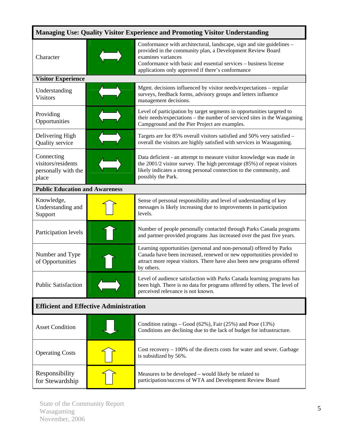| <b>Managing Use: Quality Visitor Experience and Promoting Visitor Understanding</b> |                                                                                                                                                                                         |                                                                                                                                                                                                                                                                                    |  |  |
|-------------------------------------------------------------------------------------|-----------------------------------------------------------------------------------------------------------------------------------------------------------------------------------------|------------------------------------------------------------------------------------------------------------------------------------------------------------------------------------------------------------------------------------------------------------------------------------|--|--|
| Character                                                                           |                                                                                                                                                                                         | Conformance with architectural, landscape, sign and site guidelines -<br>provided in the community plan, a Development Review Board<br>examines variances<br>Conformance with basic and essential services – business license<br>applications only approved if there's conformance |  |  |
| <b>Visitor Experience</b>                                                           |                                                                                                                                                                                         |                                                                                                                                                                                                                                                                                    |  |  |
| Understanding<br><b>Visitors</b>                                                    |                                                                                                                                                                                         | Mgmt. decisions influenced by visitor needs/expectations – regular<br>surveys, feedback forms, advisory groups and letters influence<br>management decisions.                                                                                                                      |  |  |
| Providing<br>Opportunities                                                          |                                                                                                                                                                                         | Level of participation by target segments in opportunities targeted to<br>their needs/expectations – the number of serviced sites in the Wasgaming<br>Campground and the Pier Project are examples.                                                                                |  |  |
| Delivering High<br>Quality service                                                  |                                                                                                                                                                                         | Targets are for 85% overall visitors satisfied and 50% very satisfied -<br>overall the visitors are highly satisfied with services in Wasagaming.                                                                                                                                  |  |  |
| Connecting<br>visitors/residents<br>personally with the<br>place                    |                                                                                                                                                                                         | Data deficient - an attempt to measure visitor knowledge was made in<br>the $2001/2$ visitor survey. The high percentage $(85%)$ of repeat visitors<br>likely indicates a strong personal connection to the community, and<br>possibly the Park.                                   |  |  |
| <b>Public Education and Awareness</b>                                               |                                                                                                                                                                                         |                                                                                                                                                                                                                                                                                    |  |  |
| Knowledge,<br>Understanding and<br>Support                                          |                                                                                                                                                                                         | Sense of personal responsibility and level of understanding of key<br>messages is likely increasing due to improvements in participation<br>levels.                                                                                                                                |  |  |
| Participation levels                                                                |                                                                                                                                                                                         | Number of people personally contacted through Parks Canada programs<br>and partner-provided programs .has increased over the past five years.                                                                                                                                      |  |  |
| Number and Type<br>of Opportunities                                                 |                                                                                                                                                                                         | Learning opportunities (personal and non-personal) offered by Parks<br>Canada have been increased, renewed or new opportunities provided to<br>attract more repeat visitors. There have also been new programs offered<br>by others.                                               |  |  |
| <b>Public Satisfaction</b>                                                          | Level of audience satisfaction with Parks Canada learning programs has<br>been high. There is no data for programs offered by others. The level of<br>perceived relevance is not known. |                                                                                                                                                                                                                                                                                    |  |  |
| <b>Efficient and Effective Administration</b>                                       |                                                                                                                                                                                         |                                                                                                                                                                                                                                                                                    |  |  |
| <b>Asset Condition</b>                                                              |                                                                                                                                                                                         | Condition ratings $-$ Good (62%), Fair (25%) and Poor (13%)<br>Conditions are declining due to the lack of budget for infrastructure.                                                                                                                                              |  |  |
| <b>Operating Costs</b>                                                              |                                                                                                                                                                                         | Cost recovery $-100\%$ of the directs costs for water and sewer. Garbage<br>is subsidized by 56%.                                                                                                                                                                                  |  |  |
| Responsibility<br>for Stewardship                                                   |                                                                                                                                                                                         | Measures to be developed - would likely be related to<br>participation/success of WTA and Development Review Board                                                                                                                                                                 |  |  |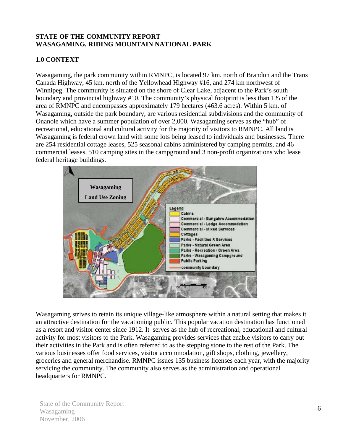# <span id="page-7-0"></span>**STATE OF THE COMMUNITY REPORT WASAGAMING, RIDING MOUNTAIN NATIONAL PARK**

# **1.0 CONTEXT**

Wasagaming, the park community within RMNPC, is located 97 km. north of Brandon and the Trans Canada Highway, 45 km. north of the Yellowhead Highway #16, and 274 km northwest of Winnipeg. The community is situated on the shore of Clear Lake, adjacent to the Park's south boundary and provincial highway #10. The community's physical footprint is less than 1% of the area of RMNPC and encompasses approximately 179 hectares (463.6 acres). Within 5 km. of Wasagaming, outside the park boundary, are various residential subdivisions and the community of Onanole which have a summer population of over 2,000. Wasagaming serves as the "hub" of recreational, educational and cultural activity for the majority of visitors to RMNPC. All land is Wasagaming is federal crown land with some lots being leased to individuals and businesses. There are 254 residential cottage leases, 525 seasonal cabins administered by camping permits, and 46 commercial leases, 510 camping sites in the campground and 3 non-profit organizations who lease federal heritage buildings.



Wasagaming strives to retain its unique village-like atmosphere within a natural setting that makes it an attractive destination for the vacationing public. This popular vacation destination has functioned as a resort and visitor center since 1912. It serves as the hub of recreational, educational and cultural activity for most visitors to the Park. Wasagaming provides services that enable visitors to carry out their activities in the Park and is often referred to as the stepping stone to the rest of the Park. The various businesses offer food services, visitor accommodation, gift shops, clothing, jewellery, groceries and general merchandise. RMNPC issues 135 business licenses each year, with the majority servicing the community. The community also serves as the administration and operational headquarters for RMNPC.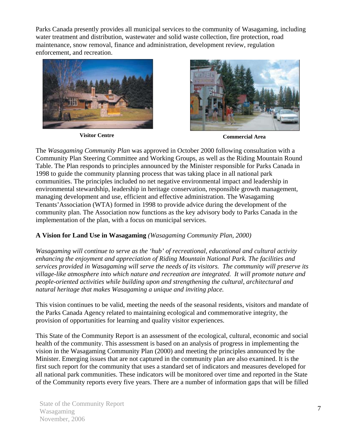Parks Canada presently provides all municipal services to the community of Wasagaming, including water treatment and distribution, wastewater and solid waste collection, fire protection, road maintenance, snow removal, finance and administration, development review, regulation enforcement, and recreation.





**Visitor Centre Commercial Area** 

The *Wasagaming Community Plan* was approved in October 2000 following consultation with a Community Plan Steering Committee and Working Groups, as well as the Riding Mountain Round Table. The Plan responds to principles announced by the Minister responsible for Parks Canada in 1998 to guide the community planning process that was taking place in all national park communities. The principles included no net negative environmental impact and leadership in environmental stewardship, leadership in heritage conservation, responsible growth management, managing development and use, efficient and effective administration. The Wasagaming Tenants'Association (WTA) formed in 1998 to provide advice during the development of the community plan. The Association now functions as the key advisory body to Parks Canada in the implementation of the plan, with a focus on municipal services.

# **A Vision for Land Use in Wasagaming** *(Wasagaming Community Plan, 2000)*

*Wasagaming will continue to serve as the 'hub' of recreational, educational and cultural activity enhancing the enjoyment and appreciation of Riding Mountain National Park. The facilities and services provided in Wasagaming will serve the needs of its visitors. The community will preserve its village-like atmosphere into which nature and recreation are integrated. It will promote nature and people-oriented activities while building upon and strengthening the cultural, architectural and natural heritage that makes Wasagaming a unique and inviting place.* 

This vision continues to be valid, meeting the needs of the seasonal residents, visitors and mandate of the Parks Canada Agency related to maintaining ecological and commemorative integrity, the provision of opportunities for learning and quality visitor experiences.

This State of the Community Report is an assessment of the ecological, cultural, economic and social health of the community. This assessment is based on an analysis of progress in implementing the vision in the Wasagaming Community Plan (2000) and meeting the principles announced by the Minister. Emerging issues that are not captured in the community plan are also examined. It is the first such report for the community that uses a standard set of indicators and measures developed for all national park communities. These indicators will be monitored over time and reported in the State of the Community reports every five years. There are a number of information gaps that will be filled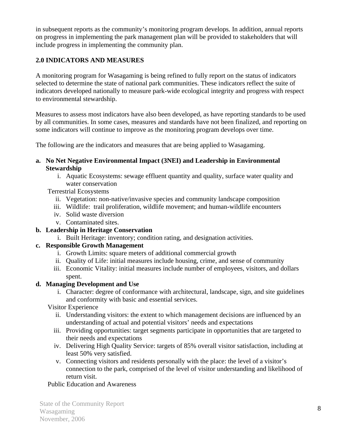<span id="page-9-0"></span>in subsequent reports as the community's monitoring program develops. In addition, annual reports on progress in implementing the park management plan will be provided to stakeholders that will include progress in implementing the community plan.

# **2.0 INDICATORS AND MEASURES**

A monitoring program for Wasagaming is being refined to fully report on the status of indicators selected to determine the state of national park communities. These indicators reflect the suite of indicators developed nationally to measure park-wide ecological integrity and progress with respect to environmental stewardship.

Measures to assess most indicators have also been developed, as have reporting standards to be used by all communities. In some cases, measures and standards have not been finalized, and reporting on some indicators will continue to improve as the monitoring program develops over time.

The following are the indicators and measures that are being applied to Wasagaming.

- **a. No Net Negative Environmental Impact (3NEI) and Leadership in Environmental Stewardship** 
	- i. Aquatic Ecosystems: sewage effluent quantity and quality, surface water quality and water conservation

Terrestrial Ecosystems

- ii. Vegetation: non-native/invasive species and community landscape composition
- iii. Wildlife: trail proliferation, wildlife movement; and human-wildlife encounters
- iv. Solid waste diversion
- v. Contaminated sites.
- **b. Leadership in Heritage Conservation** 
	- i. Built Heritage: inventory; condition rating, and designation activities.

# **c. Responsible Growth Management**

- i. Growth Limits: square meters of additional commercial growth
- ii. Quality of Life: initial measures include housing, crime, and sense of community
- iii. Economic Vitality: initial measures include number of employees, visitors, and dollars spent.

#### **d. Managing Development and Use**

i. Character: degree of conformance with architectural, landscape, sign, and site guidelines and conformity with basic and essential services.

Visitor Experience

- ii. Understanding visitors: the extent to which management decisions are influenced by an understanding of actual and potential visitors' needs and expectations
- iii. Providing opportunities: target segments participate in opportunities that are targeted to their needs and expectations
- iv. Delivering High Quality Service: targets of 85% overall visitor satisfaction, including at least 50% very satisfied.
- v. Connecting visitors and residents personally with the place: the level of a visitor's connection to the park, comprised of the level of visitor understanding and likelihood of return visit.

Public Education and Awareness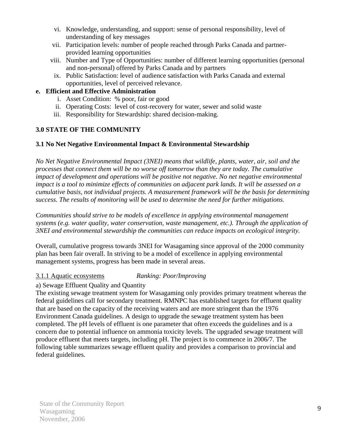- <span id="page-10-0"></span>vi. Knowledge, understanding, and support: sense of personal responsibility, level of understanding of key messages
- vii. Participation levels: number of people reached through Parks Canada and partnerprovided learning opportunities
- viii. Number and Type of Opportunities: number of different learning opportunities (personal and non-personal) offered by Parks Canada and by partners
- ix. Public Satisfaction: level of audience satisfaction with Parks Canada and external opportunities, level of perceived relevance.

# **e. Efficient and Effective Administration**

- i. Asset Condition: % poor, fair or good
- ii. Operating Costs: level of cost-recovery for water, sewer and solid waste
- iii. Responsibility for Stewardship: shared decision-making.

# **3.0 STATE OF THE COMMUNITY**

# **3.1 No Net Negative Environmental Impact & Environmental Stewardship**

*No Net Negative Environmental Impact (3NEI) means that wildlife, plants, water, air, soil and the processes that connect them will be no worse off tomorrow than they are today. The cumulative impact of development and operations will be positive not negative. No net negative environmental impact is a tool to minimize effects of communities on adjacent park lands. It will be assessed on a cumulative basis, not individual projects. A measurement framework will be the basis for determining success. The results of monitoring will be used to determine the need for further mitigations.* 

*Communities should strive to be models of excellence in applying environmental management systems (e.g. water quality, water conservation, waste management, etc.). Through the application of 3NEI and environmental stewardship the communities can reduce impacts on ecological integrity.* 

Overall, cumulative progress towards 3NEI for Wasagaming since approval of the 2000 community plan has been fair overall. In striving to be a model of excellence in applying environmental management systems, progress has been made in several areas.

# 3.1.1 Aquatic ecosystems *Ranking: Poor/Improving*

a) Sewage Effluent Quality and Quantity

The existing sewage treatment system for Wasagaming only provides primary treatment whereas the federal guidelines call for secondary treatment. RMNPC has established targets for effluent quality that are based on the capacity of the receiving waters and are more stringent than the 1976 Environment Canada guidelines. A design to upgrade the sewage treatment system has been completed. The pH levels of effluent is one parameter that often exceeds the guidelines and is a concern due to potential influence on ammonia toxicity levels. The upgraded sewage treatment will produce effluent that meets targets, including pH. The project is to commence in 2006/7. The following table summarizes sewage effluent quality and provides a comparison to provincial and federal guidelines.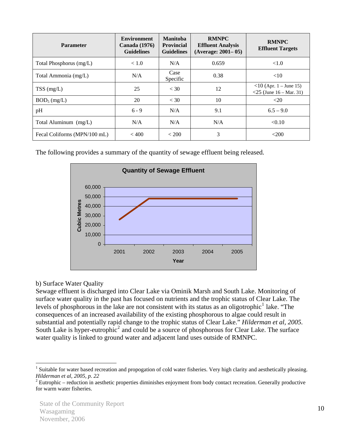| <b>Parameter</b>             | <b>Environment</b><br><b>Canada</b> (1976)<br><b>Guidelines</b> | <b>Manitoba</b><br><b>Provincial</b><br><b>Guidelines</b> | <b>RMNPC</b><br><b>Effluent Analysis</b><br>$(Average: 2001 - 05)$ | <b>RMNPC</b><br><b>Effluent Targets</b>                                       |
|------------------------------|-----------------------------------------------------------------|-----------------------------------------------------------|--------------------------------------------------------------------|-------------------------------------------------------------------------------|
| Total Phosphorus (mg/L)      | < 1.0                                                           | N/A                                                       | 0.659                                                              | < 1.0                                                                         |
| Total Ammonia (mg/L)         | N/A                                                             | Case<br>Specific                                          | 0.38                                                               | <10                                                                           |
| $TSS$ (mg/L)                 | 25                                                              | < 30                                                      | 12                                                                 | $\langle 10 \text{ (Apr. 1 - June 15)} \rangle$<br>$<$ 25 (June 16 – Mar. 31) |
| $BOD_5$ (mg/L)               | 20                                                              | $<$ 30                                                    | 10                                                                 | $<$ 20                                                                        |
| pH                           | $6 - 9$                                                         | N/A                                                       | 9.1                                                                | $6.5 - 9.0$                                                                   |
| Total Aluminum (mg/L)        | N/A                                                             | N/A                                                       | N/A                                                                | < 0.10                                                                        |
| Fecal Coliforms (MPN/100 mL) | < 400                                                           | < 200                                                     | 3                                                                  | $<$ 200                                                                       |

The following provides a summary of the quantity of sewage effluent being released.



# b) Surface Water Quality

 $\overline{a}$ 

Sewage effluent is discharged into Clear Lake via Ominik Marsh and South Lake. Monitoring of surface water quality in the past has focused on nutrients and the trophic status of Clear Lake. The levels of phosphorous in the lake are not consistent with its status as an oligotrophic<sup>[1](#page-11-0)</sup> lake. "The consequences of an increased availability of the existing phosphorous to algae could result in substantial and potentially rapid change to the trophic status of Clear Lake." *Hilderman et al, 2005.*  South Lake is hyper-eutrophic<sup>[2](#page-11-1)</sup> and could be a source of phosphorous for Clear Lake. The surface water quality is linked to ground water and adjacent land uses outside of RMNPC.

<span id="page-11-0"></span><sup>&</sup>lt;sup>1</sup> Suitable for water based recreation and propogation of cold water fisheries. Very high clarity and aesthetically pleasing. *Hilderman et al, 2005, p. 22*

<span id="page-11-1"></span> $2^{2}$  Eutrophic – reduction in aesthetic properties diminishes enjoyment from body contact recreation. Generally productive for warm water fisheries.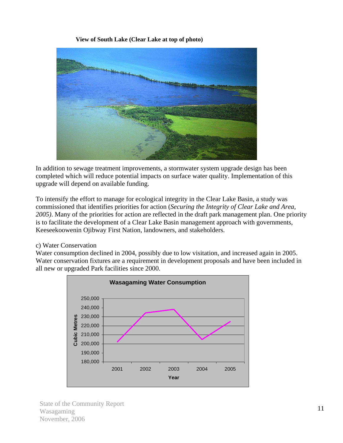**View of South Lake (Clear Lake at top of photo)** 



In addition to sewage treatment improvements, a stormwater system upgrade design has been completed which will reduce potential impacts on surface water quality. Implementation of this upgrade will depend on available funding.

To intensify the effort to manage for ecological integrity in the Clear Lake Basin, a study was commissioned that identifies priorities for action (*Securing the Integrity of Clear Lake and Area, 2005)*. Many of the priorities for action are reflected in the draft park management plan. One priority is to facilitate the development of a Clear Lake Basin management approach with governments, Keeseekoowenin Ojibway First Nation, landowners, and stakeholders.

# c) Water Conservation

Water consumption declined in 2004, possibly due to low visitation, and increased again in 2005. Water conservation fixtures are a requirement in development proposals and have been included in all new or upgraded Park facilities since 2000.

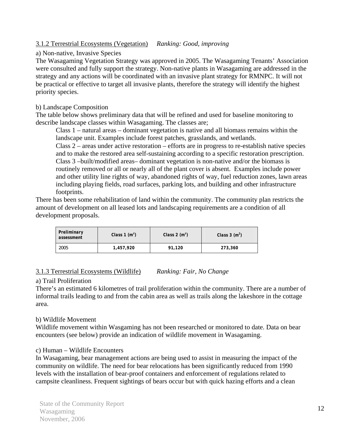## <span id="page-13-0"></span>3.1.2 Terrestrial Ecosystems (Vegetation) *Ranking: Good, improving*

#### a) Non-native, Invasive Species

The Wasagaming Vegetation Strategy was approved in 2005. The Wasagaming Tenants' Association were consulted and fully support the strategy. Non-native plants in Wasagaming are addressed in the strategy and any actions will be coordinated with an invasive plant strategy for RMNPC. It will not be practical or effective to target all invasive plants, therefore the strategy will identify the highest priority species.

#### b) Landscape Composition

The table below shows preliminary data that will be refined and used for baseline monitoring to describe landscape classes within Wasagaming. The classes are;

Class 1 *–* natural areas – dominant vegetation is native and all biomass remains within the landscape unit. Examples include forest patches, grasslands, and wetlands.

Class 2 – areas under active restoration – efforts are in progress to re-establish native species and to make the restored area self-sustaining according to a specific restoration prescription. Class 3 –built/modified areas– dominant vegetation is non-native and/or the biomass is routinely removed or all or nearly all of the plant cover is absent. Examples include power and other utility line rights of way, abandoned rights of way, fuel reduction zones, lawn areas including playing fields, road surfaces, parking lots, and building and other infrastructure footprints.

There has been some rehabilitation of land within the community. The community plan restricts the amount of development on all leased lots and landscaping requirements are a condition of all development proposals.

| Preliminary<br>assessment | Class 1 $(m2)$ | Class $2(m^2)$ | Class $3(m^2)$ |
|---------------------------|----------------|----------------|----------------|
| <i>2005</i>               | 1,457,920      | 91.120         | 273,360        |

3.1.3 Terrestrial Ecosystems (Wildlife) *Ranking: Fair, No Change*

#### a) Trail Proliferation

There's an estimated 6 kilometres of trail proliferation within the community. There are a number of informal trails leading to and from the cabin area as well as trails along the lakeshore in the cottage area.

# b) Wildlife Movement

Wildlife movement within Wasgaming has not been researched or monitored to date. Data on bear encounters (see below) provide an indication of wildlife movement in Wasagaming.

# c) Human – Wildlife Encounters

In Wasagaming, bear management actions are being used to assist in measuring the impact of the community on wildlife. The need for bear relocations has been significantly reduced from 1990 levels with the installation of bear-proof containers and enforcement of regulations related to campsite cleanliness. Frequent sightings of bears occur but with quick hazing efforts and a clean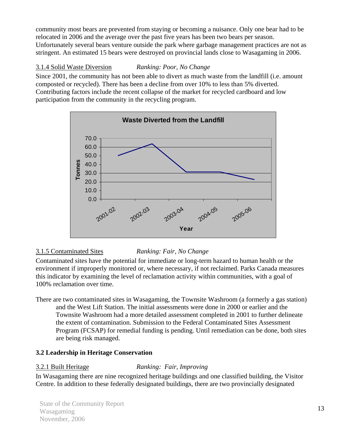<span id="page-14-0"></span>community most bears are prevented from staying or becoming a nuisance. Only one bear had to be relocated in 2006 and the average over the past five years has been two bears per season. Unfortunately several bears venture outside the park where garbage management practices are not as stringent. An estimated 15 bears were destroyed on provincial lands close to Wasagaming in 2006.

# 3.1.4 Solid Waste Diversion *Ranking: Poor, No Change*

Since 2001, the community has not been able to divert as much waste from the landfill (i.e. amount composted or recycled). There has been a decline from over 10% to less than 5% diverted. Contributing factors include the recent collapse of the market for recycled cardboard and low participation from the community in the recycling program.



# 3.1.5 Contaminated Sites *Ranking: Fair, No Change*

Contaminated sites have the potential for immediate or long-term hazard to human health or the environment if improperly monitored or, where necessary, if not reclaimed. Parks Canada measures this indicator by examining the level of reclamation activity within communities, with a goal of 100% reclamation over time.

There are two contaminated sites in Wasagaming, the Townsite Washroom (a formerly a gas station) and the West Lift Station. The initial assessments were done in 2000 or earlier and the Townsite Washroom had a more detailed assessment completed in 2001 to further delineate the extent of contamination. Submission to the Federal Contaminated Sites Assessment Program (FCSAP) for remedial funding is pending. Until remediation can be done, both sites are being risk managed.

# **3.2 Leadership in Heritage Conservation**

# 3.2.1 Built Heritage *Ranking: Fair, Improving*

In Wasagaming there are nine recognized heritage buildings and one classified building, the Visitor Centre. In addition to these federally designated buildings, there are two provincially designated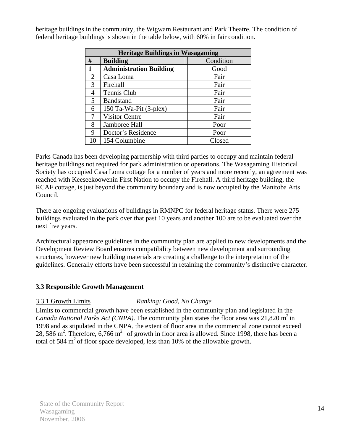| <b>Heritage Buildings in Wasagaming</b> |                                |           |  |
|-----------------------------------------|--------------------------------|-----------|--|
| #                                       | <b>Building</b>                | Condition |  |
| 1                                       | <b>Administration Building</b> | Good      |  |
| 2                                       | Casa Loma                      | Fair      |  |
| 3                                       | Firehall                       | Fair      |  |
| 4                                       | Tennis Club                    | Fair      |  |
| $\overline{\mathcal{L}}$                | <b>Bandstand</b>               | Fair      |  |
| 6                                       | 150 Ta-Wa-Pit (3-plex)         | Fair      |  |
| 7                                       | <b>Visitor Centre</b>          | Fair      |  |
| 8                                       | Jamboree Hall                  | Poor      |  |
| 9                                       | Doctor's Residence             | Poor      |  |
| 10                                      | 154 Columbine                  | Closed    |  |

<span id="page-15-0"></span>heritage buildings in the community, the Wigwam Restaurant and Park Theatre. The condition of federal heritage buildings is shown in the table below, with 60% in fair condition.

Parks Canada has been developing partnership with third parties to occupy and maintain federal heritage buildings not required for park administration or operations. The Wasagaming Historical Society has occupied Casa Loma cottage for a number of years and more recently, an agreement was reached with Keeseekoowenin First Nation to occupy the Firehall. A third heritage building, the RCAF cottage, is just beyond the community boundary and is now occupied by the Manitoba Arts Council.

There are ongoing evaluations of buildings in RMNPC for federal heritage status. There were 275 buildings evaluated in the park over that past 10 years and another 100 are to be evaluated over the next five years.

Architectural appearance guidelines in the community plan are applied to new developments and the Development Review Board ensures compatibility between new development and surrounding structures, however new building materials are creating a challenge to the interpretation of the guidelines. Generally efforts have been successful in retaining the community's distinctive character.

# **3.3 Responsible Growth Management**

# 3.3.1 Growth Limits *Ranking: Good, No Change*

Limits to commercial growth have been established in the community plan and legislated in the *Canada National Parks Act (CNPA)*. The community plan states the floor area was  $21,820 \text{ m}^2$  in 1998 and as stipulated in the CNPA, the extent of floor area in the commercial zone cannot exceed 28, 586 m<sup>2</sup>. Therefore, 6,766 m<sup>2</sup> of growth in floor area is allowed. Since 1998, there has been a total of 584  $m<sup>2</sup>$  of floor space developed, less than 10% of the allowable growth.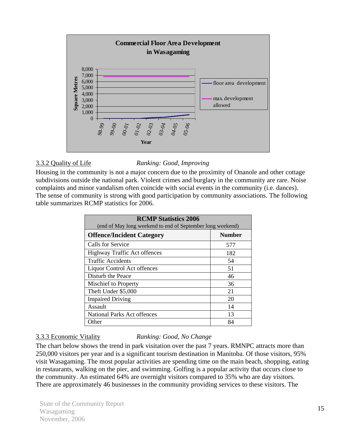<span id="page-16-0"></span>

#### 3.3.2 Quality of Life *Ranking: Good, Improving*

Housing in the community is not a major concern due to the proximity of Onanole and other cottage subdivisions outside the national park. Violent crimes and burglary in the community are rare. Noise complaints and minor vandalism often coincide with social events in the community (i.e. dances). The sense of community is strong with good participation by community associations. The following table summarizes RCMP statistics for 2006.

| <b>RCMP Statistics 2006</b><br>(end of May long weekend to end of September long weekend) |               |  |
|-------------------------------------------------------------------------------------------|---------------|--|
| <b>Offence/Incident Category</b>                                                          | <b>Number</b> |  |
| Calls for Service                                                                         | 577           |  |
| Highway Traffic Act offences                                                              | 182           |  |
| <b>Traffic Accidents</b>                                                                  | 54            |  |
| Liquor Control Act offences                                                               | 51            |  |
| Disturb the Peace                                                                         | 46            |  |
| Mischief to Property                                                                      | 36            |  |
| Theft Under \$5,000                                                                       | 21            |  |
| <b>Impaired Driving</b>                                                                   | 20            |  |
| Assault                                                                                   | 14            |  |
| <b>National Parks Act offences</b>                                                        | 13            |  |
| Other                                                                                     | 84            |  |

# 3.3.3 Economic Vitality *Ranking: Good, No Change*

The chart below shows the trend in park visitation over the past 7 years. RMNPC attracts more than 250,000 visitors per year and is a significant tourism destination in Manitoba. Of those visitors, 95% visit Wasagaming. The most popular activities are spending time on the main beach, shopping, eating in restaurants, walking on the pier, and swimming. Golfing is a popular activity that occurs close to the community. An estimated 64% are overnight visitors compared to 35% who are day visitors. There are approximately 46 businesses in the community providing services to these visitors. The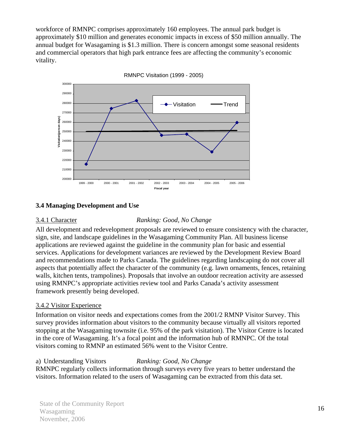<span id="page-17-0"></span>workforce of RMNPC comprises approximately 160 employees. The annual park budget is approximately \$10 million and generates economic impacts in excess of \$50 million annually. The annual budget for Wasagaming is \$1.3 million. There is concern amongst some seasonal residents and commercial operators that high park entrance fees are affecting the community's economic vitality.



RMNPC Visitation (1999 - 2005)

# **3.4 Managing Development and Use**

#### 3.4.1 Character *Ranking: Good, No Change*

All development and redevelopment proposals are reviewed to ensure consistency with the character, sign, site, and landscape guidelines in the Wasagaming Community Plan. All business license applications are reviewed against the guideline in the community plan for basic and essential services. Applications for development variances are reviewed by the Development Review Board and recommendations made to Parks Canada. The guidelines regarding landscaping do not cover all aspects that potentially affect the character of the community (e.g. lawn ornaments, fences, retaining walls, kitchen tents, trampolines). Proposals that involve an outdoor recreation activity are assessed using RMNPC's appropriate activities review tool and Parks Canada's activity assessment framework presently being developed.

# 3.4.2 Visitor Experience

Information on visitor needs and expectations comes from the 2001/2 RMNP Visitor Survey. This survey provides information about visitors to the community because virtually all visitors reported stopping at the Wasagaming townsite (i.e. 95% of the park visitation). The Visitor Centre is located in the core of Wasagaming. It's a focal point and the information hub of RMNPC. Of the total visitors coming to RMNP an estimated 56% went to the Visitor Centre.

#### a) Understanding Visitors *Ranking: Good, No Change*

RMNPC regularly collects information through surveys every five years to better understand the visitors. Information related to the users of Wasagaming can be extracted from this data set.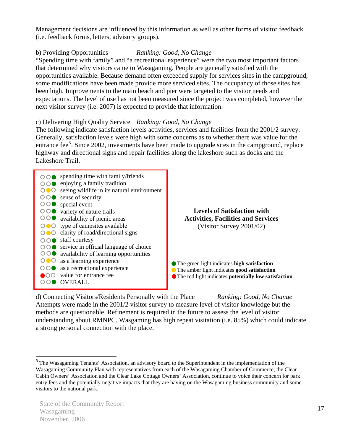Management decisions are influenced by this information as well as other forms of visitor feedback (i.e. feedback forms, letters, advisory groups).

#### b) Providing Opportunities *Ranking: Good, No Change*

"Spending time with family" and "a recreational experience" were the two most important factors that determined why visitors came to Wasagaming. People are generally satisfied with the opportunities available. Because demand often exceeded supply for services sites in the campground, some modifications have been made provide more serviced sites. The occupancy of those sites has been high. Improvements to the main beach and pier were targeted to the visitor needs and expectations. The level of use has not been measured since the project was completed, however the next visitor survey (i.e. 2007) is expected to provide that information.

# c) Delivering High Quality Service *Ranking: Good, No Change*

The following indicate satisfaction levels activities, services and facilities from the 2001/2 survey. Generally, satisfaction levels were high with some concerns as to whether there was value for the entrance fee<sup>[3](#page-18-0)</sup>. Since 2002, investments have been made to upgrade sites in the campground, replace highway and directional signs and repair facilities along the lakeshore such as docks and the Lakeshore Trail.



d) Connecting Visitors/Residents Personally with the Place *Ranking: Good, No Change* Attempts were made in the 2001/2 visitor survey to measure level of visitor knowledge but the methods are questionable. Refinement is required in the future to assess the level of visitor understanding about RMNPC. Wasgaming has high repeat visitation (i.e. 85%) which could indicate a strong personal connection with the place.

<span id="page-18-0"></span> $\overline{a}$ <sup>3</sup> The Wasagaming Tenants' Association, an advisory board to the Superintendent in the implementation of the Wasagaming Community Plan with representatives from each of the Wasagaming Chamber of Commerce, the Clear Cabin Owners' Association and the Clear Lake Cottage Owners' Association, continue to voice their concern for park entry fees and the potentially negative impacts that they are having on the Wasagaming business community and some visitors to the national park.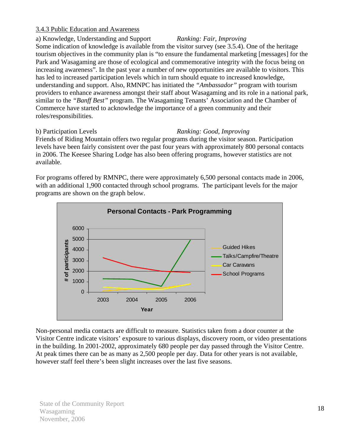# <span id="page-19-0"></span>3.4.3 Public Education and Awareness

a) Knowledge, Understanding and Support *Ranking: Fair, Improving* Some indication of knowledge is available from the visitor survey (see 3.5.4). One of the heritage tourism objectives in the community plan is "to ensure the fundamental marketing [messages] for the Park and Wasagaming are those of ecological and commemorative integrity with the focus being on increasing awareness". In the past year a number of new opportunities are available to visitors. This has led to increased participation levels which in turn should equate to increased knowledge, understanding and support. Also, RMNPC has initiated the *"Ambassador"* program with tourism providers to enhance awareness amongst their staff about Wasagaming and its role in a national park, similar to the *"Banff Best"* program. The Wasagaming Tenants' Association and the Chamber of Commerce have started to acknowledge the importance of a green community and their roles/responsibilities.

#### b) Participation Levels *Ranking: Good, Improving*

Friends of Riding Mountain offers two regular programs during the visitor season. Participation levels have been fairly consistent over the past four years with approximately 800 personal contacts in 2006. The Keesee Sharing Lodge has also been offering programs, however statistics are not available.

For programs offered by RMNPC, there were approximately 6,500 personal contacts made in 2006, with an additional 1,900 contacted through school programs. The participant levels for the major programs are shown on the graph below.



Non-personal media contacts are difficult to measure. Statistics taken from a door counter at the Visitor Centre indicate visitors' exposure to various displays, discovery room, or video presentations in the building. In 2001-2002, approximately 680 people per day passed through the Visitor Centre. At peak times there can be as many as 2,500 people per day. Data for other years is not available, however staff feel there's been slight increases over the last five seasons.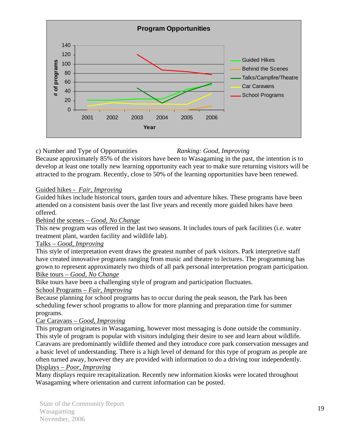

c) Number and Type of Opportunities *Ranking: Good, Improving*  Because approximately 85% of the visitors have been to Wasagaming in the past, the intention is to develop at least one totally new learning opportunity each year to make sure returning visitors will be

attracted to the program. Recently, close to 50% of the learning opportunities have been renewed.

#### Guided hikes - *Fair, Improving*

Guided hikes include historical tours, garden tours and adventure hikes. These programs have been attended on a consistent basis over the last five years and recently more guided hikes have been offered.

#### Behind the scenes – *Good, No Change*

This new program was offered in the last two seasons. It includes tours of park facilities (i.e. water treatment plant, warden facility and wildlife lab).

#### Talks – *Good, Improving*

This style of interpretation event draws the greatest number of park visitors. Park interpretive staff have created innovative programs ranging from music and theatre to lectures. The programming has grown to represent approximately two thirds of all park personal interpretation program participation. Bike tours – *Good, No Change*

Bike tours have been a challenging style of program and participation fluctuates.

School Programs – *Fair, Improving*

Because planning for school programs has to occur during the peak season, the Park has been scheduling fewer school programs to allow for more planning and preparation time for summer programs.

#### Car Caravans – *Good, Improving*

This program originates in Wasagaming, however most messaging is done outside the community. This style of program is popular with visitors indulging their desire to see and learn about wildlife. Caravans are predominantly wildlife themed and they introduce core park conservation messages and a basic level of understanding. There is a high level of demand for this type of program as people are often turned away, however they are provided with information to do a driving tour independently. Displays – *Poor, Improving*

Many displays require recapitalization. Recently new information kiosks were located throughout Wasagaming where orientation and current information can be posted.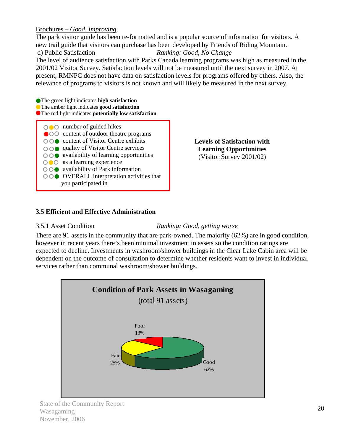# <span id="page-21-0"></span>Brochures – *Good, Improving*

The park visitor guide has been re-formatted and is a popular source of information for visitors. A new trail guide that visitors can purchase has been developed by Friends of Riding Mountain. d) Public Satisfaction *Ranking: Good, No Change*  The level of audience satisfaction with Parks Canada learning programs was high as measured in the 2001/02 Visitor Survey. Satisfaction levels will not be measured until the next survey in 2007. At present, RMNPC does not have data on satisfaction levels for programs offered by others. Also, the relevance of programs to visitors is not known and will likely be measured in the next survey.

 The green light indicates **high satisfaction The amber light indicates good satisfaction The red light indicates potentially low satisfaction** 

 number of guided hikes **Content of outdoor theatre programs** ○ ○ ● content of Visitor Centre exhibits ○ ○ ● quality of Visitor Centre services availability of learning opportunities  $\bigcirc$   $\bigcirc$  as a learning experience availability of Park information OVERALL interpretation activities that you participated in

**Levels of Satisfaction with Learning Opportunities**  (Visitor Survey 2001/02)

# **3.5 Efficient and Effective Administration**

# 3.5.1 Asset Condition *Ranking: Good, getting worse*

There are 91 assets in the community that are park-owned. The majority (62%) are in good condition, however in recent years there's been minimal investment in assets so the condition ratings are expected to decline. Investments in washroom/shower buildings in the Clear Lake Cabin area will be dependent on the outcome of consultation to determine whether residents want to invest in individual services rather than communal washroom/shower buildings.

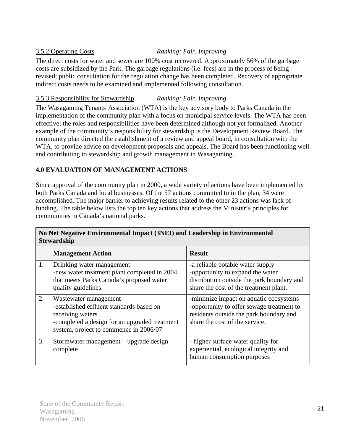# <span id="page-22-0"></span>3.5.2 Operating Costs *Ranking: Fair, Improving*

The direct costs for water and sewer are 100% cost recovered. Approximately 56% of the garbage costs are subsidized by the Park. The garbage regulations (i.e. fees) are in the process of being revised; public consultation for the regulation change has been completed. Recovery of appropriate indirect costs needs to be examined and implemented following consultation.

# 3.5.3 Responsibility for Stewardship *Ranking: Fair, Improving*

The Wasagaming Tenants'Association (WTA) is the key advisory body to Parks Canada in the implementation of the community plan with a focus on municipal service levels. The WTA has been effective; the roles and responsibilities have been determined although not yet formalized. Another example of the community's responsibility for stewardship is the Development Review Board. The community plan directed the establishment of a review and appeal board, in consultation with the WTA, to provide advice on development proposals and appeals. The Board has been functioning well and contributing to stewardship and growth management in Wasagaming.

# **4.0 EVALUATION OF MANAGEMENT ACTIONS**

Since approval of the community plan in 2000, a wide variety of actions have been implemented by both Parks Canada and local businesses. Of the 57 actions committed to in the plan, 34 were accomplished. The major barrier to achieving results related to the other 23 actions was lack of funding. The table below lists the top ten key actions that address the Minister's principles for communities in Canada's national parks.

| Stewardship |                                                                                                                                                                                  |                                                                                                                                                                  |  |
|-------------|----------------------------------------------------------------------------------------------------------------------------------------------------------------------------------|------------------------------------------------------------------------------------------------------------------------------------------------------------------|--|
|             | <b>Management Action</b>                                                                                                                                                         | <b>Result</b>                                                                                                                                                    |  |
| 1.          | Drinking water management<br>-new water treatment plant completed in 2004<br>that meets Parks Canada's proposed water<br>quality guidelines.                                     | -a reliable potable water supply<br>-opportunity to expand the water<br>distribution outside the park boundary and<br>share the cost of the treatment plant.     |  |
| 2.          | Wastewater management<br>-established effluent standards based on<br>receiving waters<br>-completed a design for an upgraded treatment<br>system, project to commence in 2006/07 | -minimize impact on aquatic ecosystems<br>-opportunity to offer sewage treatment to<br>residents outside the park boundary and<br>share the cost of the service. |  |
| 3.          | Stormwater management – upgrade design<br>complete                                                                                                                               | - higher surface water quality for<br>experiential, ecological integrity and<br>human consumption purposes                                                       |  |

# **No Net Negative Environmental Impact (3NEI) and Leadership in Environmental Stewardship**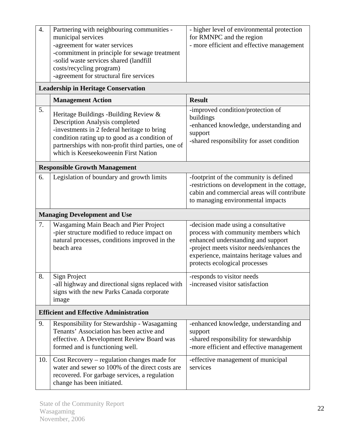| 4.  | Partnering with neighbouring communities -<br>municipal services<br>-agreement for water services<br>-commitment in principle for sewage treatment<br>-solid waste services shared (landfill<br>costs/recycling program)<br>-agreement for structural fire services          | - higher level of environmental protection<br>for RMNPC and the region<br>- more efficient and effective management                                                                                                                          |  |  |  |
|-----|------------------------------------------------------------------------------------------------------------------------------------------------------------------------------------------------------------------------------------------------------------------------------|----------------------------------------------------------------------------------------------------------------------------------------------------------------------------------------------------------------------------------------------|--|--|--|
|     | <b>Leadership in Heritage Conservation</b>                                                                                                                                                                                                                                   |                                                                                                                                                                                                                                              |  |  |  |
| 5.  | <b>Management Action</b>                                                                                                                                                                                                                                                     | <b>Result</b><br>-improved condition/protection of                                                                                                                                                                                           |  |  |  |
|     | Heritage Buildings -Building Review &<br><b>Description Analysis completed</b><br>-investments in 2 federal heritage to bring<br>condition rating up to good as a condition of<br>partnerships with non-profit third parties, one of<br>which is Keeseekoweenin First Nation | buildings<br>-enhanced knowledge, understanding and<br>support<br>-shared responsibility for asset condition                                                                                                                                 |  |  |  |
|     | <b>Responsible Growth Management</b>                                                                                                                                                                                                                                         |                                                                                                                                                                                                                                              |  |  |  |
| 6.  | Legislation of boundary and growth limits                                                                                                                                                                                                                                    | -footprint of the community is defined<br>-restrictions on development in the cottage,<br>cabin and commercial areas will contribute<br>to managing environmental impacts                                                                    |  |  |  |
|     | <b>Managing Development and Use</b>                                                                                                                                                                                                                                          |                                                                                                                                                                                                                                              |  |  |  |
| 7.  | Wasgaming Main Beach and Pier Project<br>-pier structure modified to reduce impact on<br>natural processes, conditions improved in the<br>beach area                                                                                                                         | -decision made using a consultative<br>process with community members which<br>enhanced understanding and support<br>-project meets visitor needs/enhances the<br>experience, maintains heritage values and<br>protects ecological processes |  |  |  |
| 8.  | <b>Sign Project</b><br>-all highway and directional signs replaced with<br>signs with the new Parks Canada corporate<br>image                                                                                                                                                | -responds to visitor needs<br>-increased visitor satisfaction                                                                                                                                                                                |  |  |  |
|     | <b>Efficient and Effective Administration</b>                                                                                                                                                                                                                                |                                                                                                                                                                                                                                              |  |  |  |
| 9.  | Responsibility for Stewardship - Wasagaming<br>Tenants' Association has been active and<br>effective. A Development Review Board was<br>formed and is functioning well.                                                                                                      | -enhanced knowledge, understanding and<br>support<br>-shared responsibility for stewardship<br>-more efficient and effective management                                                                                                      |  |  |  |
| 10. | Cost Recovery – regulation changes made for<br>water and sewer so 100% of the direct costs are<br>recovered. For garbage services, a regulation<br>change has been initiated.                                                                                                | -effective management of municipal<br>services                                                                                                                                                                                               |  |  |  |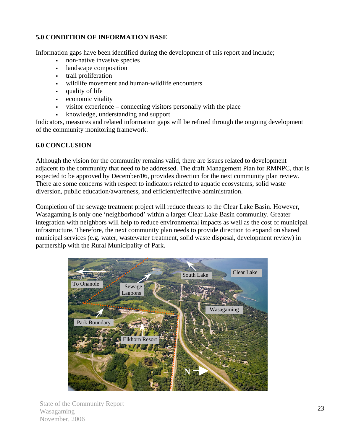# <span id="page-24-0"></span>**5.0 CONDITION OF INFORMATION BASE**

Information gaps have been identified during the development of this report and include;

- non-native invasive species
- landscape composition
- trail proliferation
- wildlife movement and human-wildlife encounters
- quality of life
- economic vitality
- visitor experience connecting visitors personally with the place
- knowledge, understanding and support

Indicators, measures and related information gaps will be refined through the ongoing development of the community monitoring framework.

#### **6.0 CONCLUSION**

Although the vision for the community remains valid, there are issues related to development adjacent to the community that need to be addressed. The draft Management Plan for RMNPC, that is expected to be approved by December/06, provides direction for the next community plan review. There are some concerns with respect to indicators related to aquatic ecosystems, solid waste diversion, public education/awareness, and efficient/effective administration.

Completion of the sewage treatment project will reduce threats to the Clear Lake Basin. However, Wasagaming is only one 'neighborhood' within a larger Clear Lake Basin community. Greater integration with neighbors will help to reduce environmental impacts as well as the cost of municipal infrastructure. Therefore, the next community plan needs to provide direction to expand on shared municipal services (e.g. water, wastewater treatment, solid waste disposal, development review) in partnership with the Rural Municipality of Park.

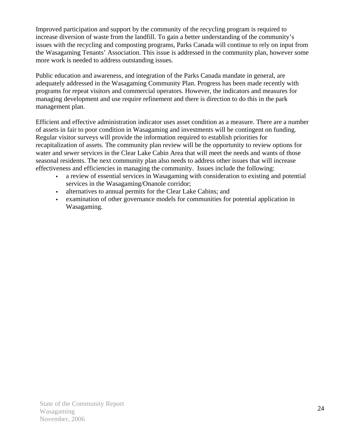Improved participation and support by the community of the recycling program is required to increase diversion of waste from the landfill. To gain a better understanding of the community's issues with the recycling and composting programs, Parks Canada will continue to rely on input from the Wasagaming Tenants' Association. This issue is addressed in the community plan, however some more work is needed to address outstanding issues*.* 

Public education and awareness, and integration of the Parks Canada mandate in general, are adequately addressed in the Wasagaming Community Plan. Progress has been made recently with programs for repeat visitors and commercial operators. However, the indicators and measures for managing development and use require refinement and there is direction to do this in the park management plan.

Efficient and effective administration indicator uses asset condition as a measure. There are a number of assets in fair to poor condition in Wasagaming and investments will be contingent on funding. Regular visitor surveys will provide the information required to establish priorities for recapitalization of assets. The community plan review will be the opportunity to review options for water and sewer services in the Clear Lake Cabin Area that will meet the needs and wants of those seasonal residents. The next community plan also needs to address other issues that will increase effectiveness and efficiencies in managing the community. Issues include the following:

- a review of essential services in Wasagaming with consideration to existing and potential services in the Wasagaming/Onanole corridor;
- alternatives to annual permits for the Clear Lake Cabins; and
- examination of other governance models for communities for potential application in Wasagaming.